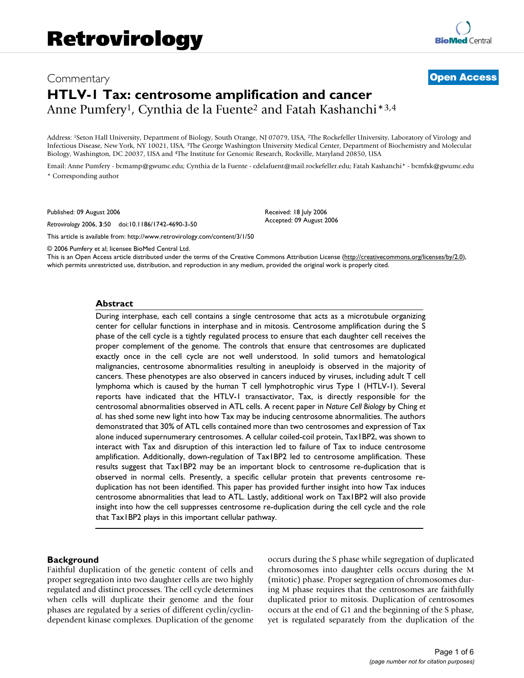# Commentary **[Open Access](http://www.biomedcentral.com/info/about/charter/) HTLV-1 Tax: centrosome amplification and cancer** Anne Pumfery<sup>1</sup>, Cynthia de la Fuente<sup>2</sup> and Fatah Kashanchi<sup>\*3,4</sup>

Address: 1Seton Hall University, Department of Biology, South Orange, NJ 07079, USA, 2The Rockefeller University, Laboratory of Virology and Infectious Disease, New York, NY 10021, USA, 3The George Washington University Medical Center, Department of Biochemistry and Molecular Biology, Washington, DC 20037, USA and 4The Institute for Genomic Research, Rockville, Maryland 20850, USA

Email: Anne Pumfery - bcmamp@gwumc.edu; Cynthia de la Fuente - cdelafuent@mail.rockefeller.edu; Fatah Kashanchi\* - bcmfxk@gwumc.edu \* Corresponding author

Published: 09 August 2006

*Retrovirology* 2006, **3**:50 doi:10.1186/1742-4690-3-50

Received: 18 July 2006 Accepted: 09 August 2006

[This article is available from: http://www.retrovirology.com/content/3/1/50](http://www.retrovirology.com/content/3/1/50)

© 2006 Pumfery et al; licensee BioMed Central Ltd.

This is an Open Access article distributed under the terms of the Creative Commons Attribution License [\(http://creativecommons.org/licenses/by/2.0\)](http://creativecommons.org/licenses/by/2.0), which permits unrestricted use, distribution, and reproduction in any medium, provided the original work is properly cited.

#### **Abstract**

During interphase, each cell contains a single centrosome that acts as a microtubule organizing center for cellular functions in interphase and in mitosis. Centrosome amplification during the S phase of the cell cycle is a tightly regulated process to ensure that each daughter cell receives the proper complement of the genome. The controls that ensure that centrosomes are duplicated exactly once in the cell cycle are not well understood. In solid tumors and hematological malignancies, centrosome abnormalities resulting in aneuploidy is observed in the majority of cancers. These phenotypes are also observed in cancers induced by viruses, including adult T cell lymphoma which is caused by the human T cell lymphotrophic virus Type 1 (HTLV-1). Several reports have indicated that the HTLV-1 transactivator, Tax, is directly responsible for the centrosomal abnormalities observed in ATL cells. A recent paper in *Nature Cell Biology* by Ching *et al*. has shed some new light into how Tax may be inducing centrosome abnormalities. The authors demonstrated that 30% of ATL cells contained more than two centrosomes and expression of Tax alone induced supernumerary centrosomes. A cellular coiled-coil protein, Tax1BP2, was shown to interact with Tax and disruption of this interaction led to failure of Tax to induce centrosome amplification. Additionally, down-regulation of Tax1BP2 led to centrosome amplification. These results suggest that Tax1BP2 may be an important block to centrosome re-duplication that is observed in normal cells. Presently, a specific cellular protein that prevents centrosome reduplication has not been identified. This paper has provided further insight into how Tax induces centrosome abnormalities that lead to ATL. Lastly, additional work on Tax1BP2 will also provide insight into how the cell suppresses centrosome re-duplication during the cell cycle and the role that Tax1BP2 plays in this important cellular pathway.

### **Background**

Faithful duplication of the genetic content of cells and proper segregation into two daughter cells are two highly regulated and distinct processes. The cell cycle determines when cells will duplicate their genome and the four phases are regulated by a series of different cyclin/cyclindependent kinase complexes. Duplication of the genome occurs during the S phase while segregation of duplicated chromosomes into daughter cells occurs during the M (mitotic) phase. Proper segregation of chromosomes during M phase requires that the centrosomes are faithfully duplicated prior to mitosis. Duplication of centrosomes occurs at the end of G1 and the beginning of the S phase, yet is regulated separately from the duplication of the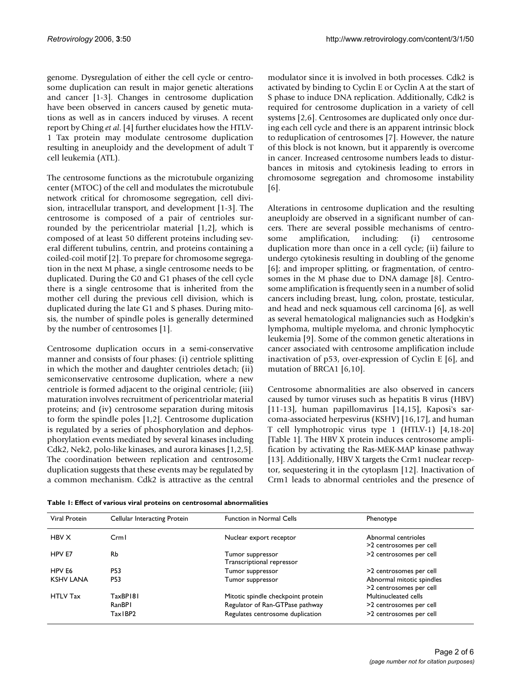genome. Dysregulation of either the cell cycle or centrosome duplication can result in major genetic alterations and cancer [1-3]. Changes in centrosome duplication have been observed in cancers caused by genetic mutations as well as in cancers induced by viruses. A recent report by Ching *et al*. [4] further elucidates how the HTLV-1 Tax protein may modulate centrosome duplication resulting in aneuploidy and the development of adult T cell leukemia (ATL).

The centrosome functions as the microtubule organizing center (MTOC) of the cell and modulates the microtubule network critical for chromosome segregation, cell division, intracellular transport, and development [1-3]. The centrosome is composed of a pair of centrioles surrounded by the pericentriolar material [1,2], which is composed of at least 50 different proteins including several different tubulins, centrin, and proteins containing a coiled-coil motif [2]. To prepare for chromosome segregation in the next M phase, a single centrosome needs to be duplicated. During the G0 and G1 phases of the cell cycle there is a single centrosome that is inherited from the mother cell during the previous cell division, which is duplicated during the late G1 and S phases. During mitosis, the number of spindle poles is generally determined by the number of centrosomes [1].

Centrosome duplication occurs in a semi-conservative manner and consists of four phases: (i) centriole splitting in which the mother and daughter centrioles detach; (ii) semiconservative centrosome duplication, where a new centriole is formed adjacent to the original centriole; (iii) maturation involves recruitment of pericentriolar material proteins; and (iv) centrosome separation during mitosis to form the spindle poles [1,2]. Centrosome duplication is regulated by a series of phosphorylation and dephosphorylation events mediated by several kinases including Cdk2, Nek2, polo-like kinases, and aurora kinases [1,2,5]. The coordination between replication and centrosome duplication suggests that these events may be regulated by a common mechanism. Cdk2 is attractive as the central

modulator since it is involved in both processes. Cdk2 is activated by binding to Cyclin E or Cyclin A at the start of S phase to induce DNA replication. Additionally, Cdk2 is required for centrosome duplication in a variety of cell systems [2,6]. Centrosomes are duplicated only once during each cell cycle and there is an apparent intrinsic block to reduplication of centrosomes [7]. However, the nature of this block is not known, but it apparently is overcome in cancer. Increased centrosome numbers leads to disturbances in mitosis and cytokinesis leading to errors in chromosome segregation and chromosome instability [6].

Alterations in centrosome duplication and the resulting aneuploidy are observed in a significant number of cancers. There are several possible mechanisms of centrosome amplification, including: (i) centrosome duplication more than once in a cell cycle; (ii) failure to undergo cytokinesis resulting in doubling of the genome [6]; and improper splitting, or fragmentation, of centrosomes in the M phase due to DNA damage [8]. Centrosome amplification is frequently seen in a number of solid cancers including breast, lung, colon, prostate, testicular, and head and neck squamous cell carcinoma [6], as well as several hematological malignancies such as Hodgkin's lymphoma, multiple myeloma, and chronic lymphocytic leukemia [9]. Some of the common genetic alterations in cancer associated with centrosome amplification include inactivation of p53, over-expression of Cyclin E [6], and mutation of BRCA1 [6,10].

Centrosome abnormalities are also observed in cancers caused by tumor viruses such as hepatitis B virus (HBV) [11-13], human papillomavirus [14,15], Kaposi's sarcoma-associated herpesvirus (KSHV) [16,17], and human T cell lymphotropic virus type 1 (HTLV-1) [4,18-20] [Table 1]. The HBV X protein induces centrosome amplification by activating the Ras-MEK-MAP kinase pathway [13]. Additionally, HBV X targets the Crm1 nuclear receptor, sequestering it in the cytoplasm [12]. Inactivation of Crm1 leads to abnormal centrioles and the presence of

| Viral Protein    | Cellular Interacting Protein | <b>Function in Normal Cells</b>               | Phenotype                                            |
|------------------|------------------------------|-----------------------------------------------|------------------------------------------------------|
| HBV X            | Crm I                        | Nuclear export receptor                       | Abnormal centrioles<br>>2 centrosomes per cell       |
| HPV E7           | Rb                           | Tumor suppressor<br>Transcriptional repressor | >2 centrosomes per cell                              |
| HPV E6           | P53                          | Tumor suppressor                              | >2 centrosomes per cell                              |
| <b>KSHV LANA</b> | P53                          | Tumor suppressor                              | Abnormal mitotic spindles<br>>2 centrosomes per cell |
| <b>HTLV Tax</b>  | TaxBP181                     | Mitotic spindle checkpoint protein            | Multinucleated cells                                 |
|                  | RanBPI                       | Regulator of Ran-GTPase pathway               | >2 centrosomes per cell                              |
|                  | Tax IBP2                     | Regulates centrosome duplication              | >2 centrosomes per cell                              |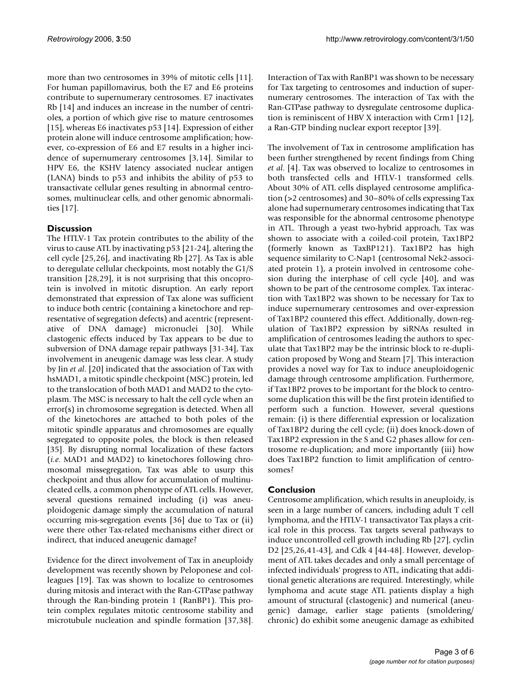more than two centrosomes in 39% of mitotic cells [11]. For human papillomavirus, both the E7 and E6 proteins contribute to supernumerary centrosomes. E7 inactivates Rb [14] and induces an increase in the number of centrioles, a portion of which give rise to mature centrosomes [15], whereas E6 inactivates p53 [14]. Expression of either protein alone will induce centrosome amplification; however, co-expression of E6 and E7 results in a higher incidence of supernumerary centrosomes [3,14]. Similar to HPV E6, the KSHV latency associated nuclear antigen (LANA) binds to p53 and inhibits the ability of p53 to transactivate cellular genes resulting in abnormal centrosomes, multinuclear cells, and other genomic abnormalities [17].

## **Discussion**

The HTLV-1 Tax protein contributes to the ability of the virus to cause ATL by inactivating p53 [21-24], altering the cell cycle [25,26], and inactivating Rb [27]. As Tax is able to deregulate cellular checkpoints, most notably the G1/S transition [28,29], it is not surprising that this oncoprotein is involved in mitotic disruption. An early report demonstrated that expression of Tax alone was sufficient to induce both centric (containing a kinetochore and representative of segregation defects) and acentric (representative of DNA damage) micronuclei [30]. While clastogenic effects induced by Tax appears to be due to subversion of DNA damage repair pathways [31-34], Tax involvement in aneugenic damage was less clear. A study by Jin *et al*. [20] indicated that the association of Tax with hsMAD1, a mitotic spindle checkpoint (MSC) protein, led to the translocation of both MAD1 and MAD2 to the cytoplasm. The MSC is necessary to halt the cell cycle when an error(s) in chromosome segregation is detected. When all of the kinetochores are attached to both poles of the mitotic spindle apparatus and chromosomes are equally segregated to opposite poles, the block is then released [35]. By disrupting normal localization of these factors (*i.e*. MAD1 and MAD2) to kinetochores following chromosomal missegregation, Tax was able to usurp this checkpoint and thus allow for accumulation of multinucleated cells, a common phenotype of ATL cells. However, several questions remained including (i) was aneuploidogenic damage simply the accumulation of natural occurring mis-segregation events [36] due to Tax or (ii) were there other Tax-related mechanisms either direct or indirect, that induced aneugenic damage?

Evidence for the direct involvement of Tax in aneuploidy development was recently shown by Peloponese and colleagues [19]. Tax was shown to localize to centrosomes during mitosis and interact with the Ran-GTPase pathway through the Ran-binding protein 1 (RanBP1). This protein complex regulates mitotic centrosome stability and microtubule nucleation and spindle formation [37,38].

Interaction of Tax with RanBP1 was shown to be necessary for Tax targeting to centrosomes and induction of supernumerary centrosomes. The interaction of Tax with the Ran-GTPase pathway to dysregulate centrosome duplication is reminiscent of HBV X interaction with Crm1 [12], a Ran-GTP binding nuclear export receptor [39].

The involvement of Tax in centrosome amplification has been further strengthened by recent findings from Ching *et al*. [4]. Tax was observed to localize to centrosomes in both transfected cells and HTLV-1 transformed cells. About 30% of ATL cells displayed centrosome amplification (>2 centrosomes) and 30–80% of cells expressing Tax alone had supernumerary centrosomes indicating that Tax was responsible for the abnormal centrosome phenotype in ATL. Through a yeast two-hybrid approach, Tax was shown to associate with a coiled-coil protein, Tax1BP2 (formerly known as TaxBP121). Tax1BP2 has high sequence similarity to C-Nap1 (centrosomal Nek2-associated protein 1), a protein involved in centrosome cohesion during the interphase of cell cycle [40], and was shown to be part of the centrosome complex. Tax interaction with Tax1BP2 was shown to be necessary for Tax to induce supernumerary centrosomes and over-expression of Tax1BP2 countered this effect. Additionally, down-regulation of Tax1BP2 expression by siRNAs resulted in amplification of centrosomes leading the authors to speculate that Tax1BP2 may be the intrinsic block to re-duplication proposed by Wong and Stearn [7]. This interaction provides a novel way for Tax to induce aneuploidogenic damage through centrosome amplification. Furthermore, if Tax1BP2 proves to be important for the block to centrosome duplication this will be the first protein identified to perform such a function. However, several questions remain: (i) is there differential expression or localization of Tax1BP2 during the cell cycle; (ii) does knock-down of Tax1BP2 expression in the S and G2 phases allow for centrosome re-duplication; and more importantly (iii) how does Tax1BP2 function to limit amplification of centrosomes?

## **Conclusion**

Centrosome amplification, which results in aneuploidy, is seen in a large number of cancers, including adult T cell lymphoma, and the HTLV-1 transactivator Tax plays a critical role in this process. Tax targets several pathways to induce uncontrolled cell growth including Rb [27], cyclin D2 [25,26,41-43], and Cdk 4 [44-48]. However, development of ATL takes decades and only a small percentage of infected individuals' progress to ATL, indicating that additional genetic alterations are required. Interestingly, while lymphoma and acute stage ATL patients display a high amount of structural (clastogenic) and numerical (aneugenic) damage, earlier stage patients (smoldering/ chronic) do exhibit some aneugenic damage as exhibited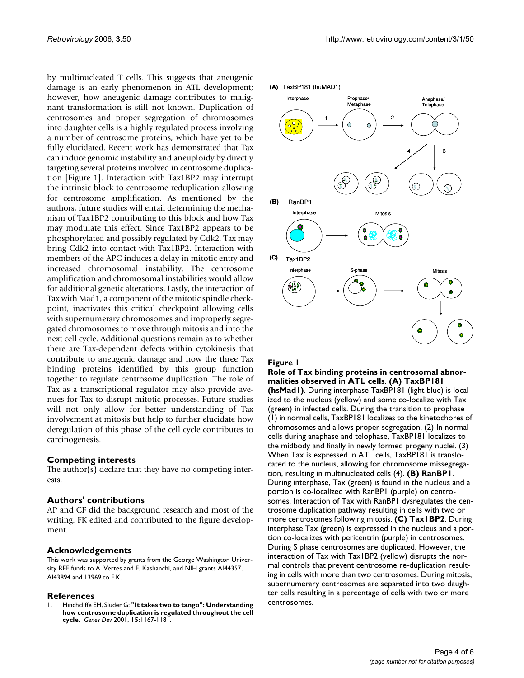by multinucleated T cells. This suggests that aneugenic damage is an early phenomenon in ATL development; however, how aneugenic damage contributes to malignant transformation is still not known. Duplication of centrosomes and proper segregation of chromosomes into daughter cells is a highly regulated process involving a number of centrosome proteins, which have yet to be fully elucidated. Recent work has demonstrated that Tax can induce genomic instability and aneuploidy by directly targeting several proteins involved in centrosome duplication [Figure 1]. Interaction with Tax1BP2 may interrupt the intrinsic block to centrosome reduplication allowing for centrosome amplification. As mentioned by the authors, future studies will entail determining the mechanism of Tax1BP2 contributing to this block and how Tax may modulate this effect. Since Tax1BP2 appears to be phosphorylated and possibly regulated by Cdk2, Tax may bring Cdk2 into contact with Tax1BP2. Interaction with members of the APC induces a delay in mitotic entry and increased chromosomal instability. The centrosome amplification and chromosomal instabilities would allow for additional genetic alterations. Lastly, the interaction of Tax with Mad1, a component of the mitotic spindle checkpoint, inactivates this critical checkpoint allowing cells with supernumerary chromosomes and improperly segregated chromosomes to move through mitosis and into the next cell cycle. Additional questions remain as to whether there are Tax-dependent defects within cytokinesis that contribute to aneugenic damage and how the three Tax binding proteins identified by this group function together to regulate centrosome duplication. The role of Tax as a transcriptional regulator may also provide avenues for Tax to disrupt mitotic processes. Future studies will not only allow for better understanding of Tax involvement at mitosis but help to further elucidate how deregulation of this phase of the cell cycle contributes to carcinogenesis.

#### **Competing interests**

The author(s) declare that they have no competing interests.

### **Authors' contributions**

AP and CF did the background research and most of the writing. FK edited and contributed to the figure development.

#### **Acknowledgements**

This work was supported by grants from the George Washington University REF funds to A. Vertes and F. Kashanchi, and NIH grants AI44357, AI43894 and 13969 to F.K.

#### **References**

1. Hinchcliffe EH, Sluder G: **["It takes two to tango": Understanding](http://www.ncbi.nlm.nih.gov/entrez/query.fcgi?cmd=Retrieve&db=PubMed&dopt=Abstract&list_uids=11358861) [how centrosome duplication is regulated throughout the cell](http://www.ncbi.nlm.nih.gov/entrez/query.fcgi?cmd=Retrieve&db=PubMed&dopt=Abstract&list_uids=11358861) [cycle.](http://www.ncbi.nlm.nih.gov/entrez/query.fcgi?cmd=Retrieve&db=PubMed&dopt=Abstract&list_uids=11358861)** *Genes Dev* 2001, **15:**1167-1181.



#### Figure 1

**Role of Tax binding proteins in centrosomal abnormalities observed in ATL cells**. **(A) TaxBP181** 

**(hsMad1)**. During interphase TaxBP181 (light blue) is localized to the nucleus (yellow) and some co-localize with Tax (green) in infected cells. During the transition to prophase (1) in normal cells, TaxBP181 localizes to the kinetochores of chromosomes and allows proper segregation. (2) In normal cells during anaphase and telophase, TaxBP181 localizes to the midbody and finally in newly formed progeny nuclei. (3) When Tax is expressed in ATL cells, TaxBP181 is translocated to the nucleus, allowing for chromosome missegregation, resulting in multinucleated cells (4). **(B) RanBP1**. During interphase, Tax (green) is found in the nucleus and a portion is co-localized with RanBP1 (purple) on centrosomes. Interaction of Tax with RanBP1 dysregulates the centrosome duplication pathway resulting in cells with two or more centrosomes following mitosis. **(C) Tax1BP2**. During interphase Tax (green) is expressed in the nucleus and a portion co-localizes with pericentrin (purple) in centrosomes. During S phase centrosomes are duplicated. However, the interaction of Tax with Tax1BP2 (yellow) disrupts the normal controls that prevent centrosome re-duplication resulting in cells with more than two centrosomes. During mitosis, supernumerary centrosomes are separated into two daughter cells resulting in a percentage of cells with two or more centrosomes.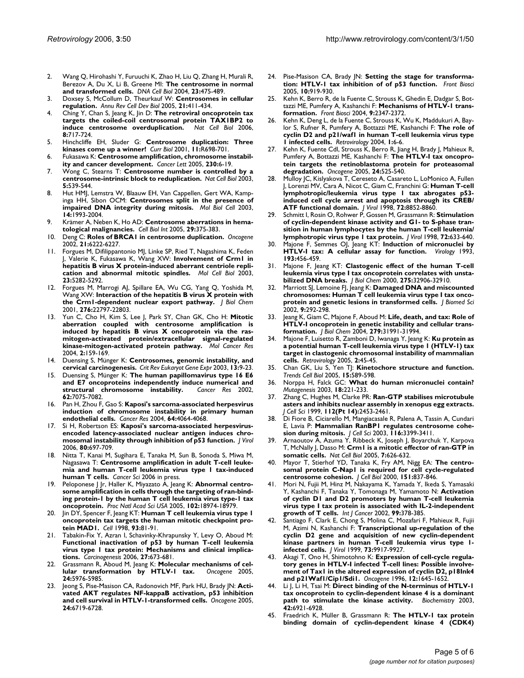- 2. Wang Q, Hirohashi Y, Furuuchi K, Zhao H, Liu Q, Zhang H, Murali R, Berezov A, Du X, Li B, Greene MI: **[The centrosome in normal](http://www.ncbi.nlm.nih.gov/entrez/query.fcgi?cmd=Retrieve&db=PubMed&dopt=Abstract&list_uids=15307950) [and transformed cells.](http://www.ncbi.nlm.nih.gov/entrez/query.fcgi?cmd=Retrieve&db=PubMed&dopt=Abstract&list_uids=15307950)** *DNA Cell Biol* 2004, **23:**475-489.
- 3. Doxsey S, McCollum D, Theurkauf W: **[Centrosomes in cellular](http://www.ncbi.nlm.nih.gov/entrez/query.fcgi?cmd=Retrieve&db=PubMed&dopt=Abstract&list_uids=16212501) [regulation.](http://www.ncbi.nlm.nih.gov/entrez/query.fcgi?cmd=Retrieve&db=PubMed&dopt=Abstract&list_uids=16212501)** *Annu Rev Cell Dev Biol* 2005, **21:**411-434.
- 4. Ching Y, Chan S, Jeang K, Jin D: **[The retroviral oncoprotein tax](http://www.ncbi.nlm.nih.gov/entrez/query.fcgi?cmd=Retrieve&db=PubMed&dopt=Abstract&list_uids=16767081) [targets the coiled-coil centrosomal protein TAX1BP2 to](http://www.ncbi.nlm.nih.gov/entrez/query.fcgi?cmd=Retrieve&db=PubMed&dopt=Abstract&list_uids=16767081) [induce centrosome overduplication.](http://www.ncbi.nlm.nih.gov/entrez/query.fcgi?cmd=Retrieve&db=PubMed&dopt=Abstract&list_uids=16767081)** *Nat Cell Biol* 2006, **8:**717-724.
- 5. Hinchcliffe EH, Sluder G: **[Centrosome duplication: Three](http://www.ncbi.nlm.nih.gov/entrez/query.fcgi?cmd=Retrieve&db=PubMed&dopt=Abstract&list_uids=11553343) [kinases come up a winner!](http://www.ncbi.nlm.nih.gov/entrez/query.fcgi?cmd=Retrieve&db=PubMed&dopt=Abstract&list_uids=11553343)** *Curr Biol* 2001, **11:**R698-701.
- Fukasawa K: [Centrosome amplification, chromosome instabil](http://www.ncbi.nlm.nih.gov/entrez/query.fcgi?cmd=Retrieve&db=PubMed&dopt=Abstract&list_uids=16253756)**[ity and cancer development.](http://www.ncbi.nlm.nih.gov/entrez/query.fcgi?cmd=Retrieve&db=PubMed&dopt=Abstract&list_uids=16253756)** *Cancer Lett* 2005, **230:**6-19.
- 7. Wong C, Stearns T: **[Centrosome number is controlled by a](http://www.ncbi.nlm.nih.gov/entrez/query.fcgi?cmd=Retrieve&db=PubMed&dopt=Abstract&list_uids=12766773) [centrosome-intrinsic block to reduplication.](http://www.ncbi.nlm.nih.gov/entrez/query.fcgi?cmd=Retrieve&db=PubMed&dopt=Abstract&list_uids=12766773)** *Nat Cell Biol* 2003, **5:**539-544.
- Hut HMJ, Lemstra W, Blaauw EH, Van Cappellen, Gert WA, Kampinga HH, Sibon OCM: **[Centrosomes split in the presence of](http://www.ncbi.nlm.nih.gov/entrez/query.fcgi?cmd=Retrieve&db=PubMed&dopt=Abstract&list_uids=12802070) [impaired DNA integrity during mitosis.](http://www.ncbi.nlm.nih.gov/entrez/query.fcgi?cmd=Retrieve&db=PubMed&dopt=Abstract&list_uids=12802070)** *Mol Biol Cell* 2003, **14:**1993-2004.
- 9. Krämer A, Neben K, Ho AD: **[Centrosome aberrations in hema](http://www.ncbi.nlm.nih.gov/entrez/query.fcgi?cmd=Retrieve&db=PubMed&dopt=Abstract&list_uids=15996491)[tological malignancies.](http://www.ncbi.nlm.nih.gov/entrez/query.fcgi?cmd=Retrieve&db=PubMed&dopt=Abstract&list_uids=15996491)** *Cell Biol Int* 2005, **29:**375-383.
- 10. Deng C: **[Roles of BRCA1 in centrosome duplication.](http://www.ncbi.nlm.nih.gov/entrez/query.fcgi?cmd=Retrieve&db=PubMed&dopt=Abstract&list_uids=12214252)** *Oncogene* 2002, **21:**6222-6227.
- 11. Forgues M, Difilippantonio MJ, Linke SP, Ried T, Nagashima K, Feden J, Valerie K, Fukasawa K, Wang XW: **[Involvement of Crm1 in](http://www.ncbi.nlm.nih.gov/entrez/query.fcgi?cmd=Retrieve&db=PubMed&dopt=Abstract&list_uids=12861014) [hepatitis B virus X protein-induced aberrant centriole repli](http://www.ncbi.nlm.nih.gov/entrez/query.fcgi?cmd=Retrieve&db=PubMed&dopt=Abstract&list_uids=12861014)[cation and abnormal mitotic spindles.](http://www.ncbi.nlm.nih.gov/entrez/query.fcgi?cmd=Retrieve&db=PubMed&dopt=Abstract&list_uids=12861014)** *Mol Cell Biol* 2003, **23:**5282-5292.
- 12. Forgues M, Marrogi AJ, Spillare EA, Wu CG, Yang Q, Yoshida M, Wang XW: **[Interaction of the hepatitis B virus X protein with](http://www.ncbi.nlm.nih.gov/entrez/query.fcgi?cmd=Retrieve&db=PubMed&dopt=Abstract&list_uids=11287420) [the Crm1-dependent nuclear export pathway.](http://www.ncbi.nlm.nih.gov/entrez/query.fcgi?cmd=Retrieve&db=PubMed&dopt=Abstract&list_uids=11287420)** *J Biol Chem* 2001, **276:**22797-22803.
- 13. Yun C, Cho H, Kim S, Lee J, Park SY, Chan GK, Cho H: **[Mitotic](http://www.ncbi.nlm.nih.gov/entrez/query.fcgi?cmd=Retrieve&db=PubMed&dopt=Abstract&list_uids=15037655) [aberration coupled with centrosome amplification is](http://www.ncbi.nlm.nih.gov/entrez/query.fcgi?cmd=Retrieve&db=PubMed&dopt=Abstract&list_uids=15037655) induced by hepatitis B virus X oncoprotein via the rasmitogen-activated protein/extracellular signal-regulated [kinase-mitogen-activated protein pathway.](http://www.ncbi.nlm.nih.gov/entrez/query.fcgi?cmd=Retrieve&db=PubMed&dopt=Abstract&list_uids=15037655)** *Mol Cancer Res* 2004, **2:**159-169.
- 14. Duensing S, Münger K: **[Centrosomes, genomic instability, and](http://www.ncbi.nlm.nih.gov/entrez/query.fcgi?cmd=Retrieve&db=PubMed&dopt=Abstract&list_uids=12839094) [cervical carcinogenesis.](http://www.ncbi.nlm.nih.gov/entrez/query.fcgi?cmd=Retrieve&db=PubMed&dopt=Abstract&list_uids=12839094)** *Crit Rev Eukaryot Gene Expr* 2003, **13:**9-23.
- 15. Duensing S, Münger K: **[The human papillomavirus type 16 E6](http://www.ncbi.nlm.nih.gov/entrez/query.fcgi?cmd=Retrieve&db=PubMed&dopt=Abstract&list_uids=12460929)** and **E7** oncoproteins independently induce numerical and structural chromosome instability. Cancer Res 2002, [structural chromosome instability.](http://www.ncbi.nlm.nih.gov/entrez/query.fcgi?cmd=Retrieve&db=PubMed&dopt=Abstract&list_uids=12460929) **62:**7075-7082.
- 16. Pan H, Zhou F, Gao S: **[Kaposi's sarcoma-associated herpesvirus](http://www.ncbi.nlm.nih.gov/entrez/query.fcgi?cmd=Retrieve&db=PubMed&dopt=Abstract&list_uids=15205312) [induction of chromosome instability in primary human](http://www.ncbi.nlm.nih.gov/entrez/query.fcgi?cmd=Retrieve&db=PubMed&dopt=Abstract&list_uids=15205312) [endothelial cells.](http://www.ncbi.nlm.nih.gov/entrez/query.fcgi?cmd=Retrieve&db=PubMed&dopt=Abstract&list_uids=15205312)** *Cancer Res* 2004, **64:**4064-4068.
- 17. Si H, Robertson ES: **[Kaposi's sarcoma-associated herpesvirus](http://www.ncbi.nlm.nih.gov/entrez/query.fcgi?cmd=Retrieve&db=PubMed&dopt=Abstract&list_uids=16378973)[encoded latency-associated nuclear antigen induces chro](http://www.ncbi.nlm.nih.gov/entrez/query.fcgi?cmd=Retrieve&db=PubMed&dopt=Abstract&list_uids=16378973)[mosomal instability through inhibition of p53 function.](http://www.ncbi.nlm.nih.gov/entrez/query.fcgi?cmd=Retrieve&db=PubMed&dopt=Abstract&list_uids=16378973)** *J Virol* 2006, **80:**697-709.
- 18. Nitta T, Kanai M, Sugihara E, Tanaka M, Sun B, Sonoda S, Miwa M, Nagasawa T: **[Centrosome amplification in adult T-cell leuke](http://www.ncbi.nlm.nih.gov/entrez/query.fcgi?cmd=Retrieve&db=PubMed&dopt=Abstract&list_uids=16805820)[mia and human T-cell leukemia virus type 1 tax-induced](http://www.ncbi.nlm.nih.gov/entrez/query.fcgi?cmd=Retrieve&db=PubMed&dopt=Abstract&list_uids=16805820) [human T cells.](http://www.ncbi.nlm.nih.gov/entrez/query.fcgi?cmd=Retrieve&db=PubMed&dopt=Abstract&list_uids=16805820)** *Cancer Sci* 2006 in press.
- 19. Peloponese J Jr, Haller K, Miyazato A, Jeang K: **[Abnormal centro](http://www.ncbi.nlm.nih.gov/entrez/query.fcgi?cmd=Retrieve&db=PubMed&dopt=Abstract&list_uids=16365316)[some amplification in cells through the targeting of ran-bind](http://www.ncbi.nlm.nih.gov/entrez/query.fcgi?cmd=Retrieve&db=PubMed&dopt=Abstract&list_uids=16365316)ing protein-1 by the human T cell leukemia virus type-1 tax [oncoprotein.](http://www.ncbi.nlm.nih.gov/entrez/query.fcgi?cmd=Retrieve&db=PubMed&dopt=Abstract&list_uids=16365316)** *Proc Natl Acad Sci USA* 2005, **102:**18974-18979.
- 20. Jin DY, Spencer F, Jeang KT: **[Human T cell leukemia virus type 1](http://www.ncbi.nlm.nih.gov/entrez/query.fcgi?cmd=Retrieve&db=PubMed&dopt=Abstract&list_uids=9546394) [oncoprotein tax targets the human mitotic checkpoint pro](http://www.ncbi.nlm.nih.gov/entrez/query.fcgi?cmd=Retrieve&db=PubMed&dopt=Abstract&list_uids=9546394)[tein MAD1.](http://www.ncbi.nlm.nih.gov/entrez/query.fcgi?cmd=Retrieve&db=PubMed&dopt=Abstract&list_uids=9546394)** *Cell* 1998, **93:**81-91.
- 21. Tabakin-Fix Y, Azran I, Schavinky-Khrapunsky Y, Levy O, Aboud M: **[Functional inactivation of p53 by human T-cell leukemia](http://www.ncbi.nlm.nih.gov/entrez/query.fcgi?cmd=Retrieve&db=PubMed&dopt=Abstract&list_uids=16308315) virus type 1 tax protein: Mechanisms and clinical implica[tions.](http://www.ncbi.nlm.nih.gov/entrez/query.fcgi?cmd=Retrieve&db=PubMed&dopt=Abstract&list_uids=16308315)** *Carcinogenesis* 2006, **27:**673-681.
- 22. Grassmann R, Aboud M, Jeang K: **[Molecular mechanisms of cel](http://www.ncbi.nlm.nih.gov/entrez/query.fcgi?cmd=Retrieve&db=PubMed&dopt=Abstract&list_uids=16155604)[lular transformation by HTLV-1 tax.](http://www.ncbi.nlm.nih.gov/entrez/query.fcgi?cmd=Retrieve&db=PubMed&dopt=Abstract&list_uids=16155604)** *Oncogene* 2005, **24:**5976-5985.
- 23. Jeong S, Pise-Masison CA, Radonovich MF, Park HU, Brady JN: **[Acti](http://www.ncbi.nlm.nih.gov/entrez/query.fcgi?cmd=Retrieve&db=PubMed&dopt=Abstract&list_uids=16007163)[vated AKT regulates NF-kappaB activation, p53 inhibition](http://www.ncbi.nlm.nih.gov/entrez/query.fcgi?cmd=Retrieve&db=PubMed&dopt=Abstract&list_uids=16007163) [and cell survival in HTLV-1-transformed cells.](http://www.ncbi.nlm.nih.gov/entrez/query.fcgi?cmd=Retrieve&db=PubMed&dopt=Abstract&list_uids=16007163)** *Oncogene* 2005, **24:**6719-6728.
- 24. Pise-Masison CA, Brady JN: **[Setting the stage for transforma](http://www.ncbi.nlm.nih.gov/entrez/query.fcgi?cmd=Retrieve&db=PubMed&dopt=Abstract&list_uids=15569630)[tion: HTLV-1 tax inhibition of of p53 function.](http://www.ncbi.nlm.nih.gov/entrez/query.fcgi?cmd=Retrieve&db=PubMed&dopt=Abstract&list_uids=15569630)** *Front Biosci* 2005, **10:**919-930.
- 25. Kehn K, Berro R, de la Fuente C, Strouss K, Ghedin E, Dadgar S, Bottazzi ME, Pumfery A, Kashanchi F: **[Mechanisms of HTLV-1 trans](http://www.ncbi.nlm.nih.gov/entrez/query.fcgi?cmd=Retrieve&db=PubMed&dopt=Abstract&list_uids=15353292)[formation.](http://www.ncbi.nlm.nih.gov/entrez/query.fcgi?cmd=Retrieve&db=PubMed&dopt=Abstract&list_uids=15353292)** *Front Biosci* 2004, **9:**2347-2372.
- 26. Kehn K, Deng L, de la Fuente C, Strouss K, Wu K, Maddukuri A, Baylor S, Rufner R, Pumfery A, Bottazzi ME, Kashanchi F: **[The role of](http://www.ncbi.nlm.nih.gov/entrez/query.fcgi?cmd=Retrieve&db=PubMed&dopt=Abstract&list_uids=15169570) [cyclin D2 and p21/waf1 in human T-cell leukemia virus type](http://www.ncbi.nlm.nih.gov/entrez/query.fcgi?cmd=Retrieve&db=PubMed&dopt=Abstract&list_uids=15169570) [1 infected cells.](http://www.ncbi.nlm.nih.gov/entrez/query.fcgi?cmd=Retrieve&db=PubMed&dopt=Abstract&list_uids=15169570)** *Retrovirology* 2004, **1:**6-6.
- 27. Kehn K, Fuente Cdl, Strouss K, Berro R, Jiang H, Brady J, Mahieux R, Pumfery A, Bottazzi ME, Kashanchi F: **[The HTLV-I tax oncopro](http://www.ncbi.nlm.nih.gov/entrez/query.fcgi?cmd=Retrieve&db=PubMed&dopt=Abstract&list_uids=15580311)[tein targets the retinoblastoma protein for proteasomal](http://www.ncbi.nlm.nih.gov/entrez/query.fcgi?cmd=Retrieve&db=PubMed&dopt=Abstract&list_uids=15580311) [degradation.](http://www.ncbi.nlm.nih.gov/entrez/query.fcgi?cmd=Retrieve&db=PubMed&dopt=Abstract&list_uids=15580311)** *Oncogene* 2005, **24:**525-540.
- 28. Mulloy JC, Kislyakova T, Cereseto A, Casareto L, LoMonico A, Fullen J, Lorenzi MV, Cara A, Nicot C, Giam C, Franchini G: **[Human T-cell](http://www.ncbi.nlm.nih.gov/entrez/query.fcgi?cmd=Retrieve&db=PubMed&dopt=Abstract&list_uids=9765430) [lymphotropic/leukemia virus type 1 tax abrogates p53](http://www.ncbi.nlm.nih.gov/entrez/query.fcgi?cmd=Retrieve&db=PubMed&dopt=Abstract&list_uids=9765430) induced cell cycle arrest and apoptosis through its CREB/ [ATF functional domain.](http://www.ncbi.nlm.nih.gov/entrez/query.fcgi?cmd=Retrieve&db=PubMed&dopt=Abstract&list_uids=9765430)** *J Virol* 1998, **72:**8852-8860.
- 29. Schmitt I, Rosin O, Rohwer P, Gossen M, Grassmann R: **[Stimulation](http://www.ncbi.nlm.nih.gov/entrez/query.fcgi?cmd=Retrieve&db=PubMed&dopt=Abstract&list_uids=9420268) [of cyclin-dependent kinase activity and G1- to S-phase tran](http://www.ncbi.nlm.nih.gov/entrez/query.fcgi?cmd=Retrieve&db=PubMed&dopt=Abstract&list_uids=9420268)sition in human lymphocytes by the human T-cell leukemia/ [lymphotropic virus type 1 tax protein.](http://www.ncbi.nlm.nih.gov/entrez/query.fcgi?cmd=Retrieve&db=PubMed&dopt=Abstract&list_uids=9420268)** *J Virol* 1998, **72:**633-640.
- 30. Majone F, Semmes OJ, Jeang KT: **[Induction of micronuclei by](http://www.ncbi.nlm.nih.gov/entrez/query.fcgi?cmd=Retrieve&db=PubMed&dopt=Abstract&list_uids=8438579) [HTLV-I tax: A cellular assay for function.](http://www.ncbi.nlm.nih.gov/entrez/query.fcgi?cmd=Retrieve&db=PubMed&dopt=Abstract&list_uids=8438579) 193:**456-459.
- 31. Majone F, Jeang KT: **[Clastogenic effect of the human T-cell](http://www.ncbi.nlm.nih.gov/entrez/query.fcgi?cmd=Retrieve&db=PubMed&dopt=Abstract&list_uids=10969065) [leukemia virus type I tax oncoprotein correlates with unsta](http://www.ncbi.nlm.nih.gov/entrez/query.fcgi?cmd=Retrieve&db=PubMed&dopt=Abstract&list_uids=10969065)[bilized DNA breaks.](http://www.ncbi.nlm.nih.gov/entrez/query.fcgi?cmd=Retrieve&db=PubMed&dopt=Abstract&list_uids=10969065)** *J Biol Chem* 2000, **275:**32906-32910.
- 32. Marriott SJ, Lemoine FJ, Jeang K: **[Damaged DNA and miscounted](http://www.ncbi.nlm.nih.gov/entrez/query.fcgi?cmd=Retrieve&db=PubMed&dopt=Abstract&list_uids=12145525) [chromosomes: Human T cell leukemia virus type I tax onco](http://www.ncbi.nlm.nih.gov/entrez/query.fcgi?cmd=Retrieve&db=PubMed&dopt=Abstract&list_uids=12145525)[protein and genetic lesions in transformed cells.](http://www.ncbi.nlm.nih.gov/entrez/query.fcgi?cmd=Retrieve&db=PubMed&dopt=Abstract&list_uids=12145525)** *J Biomed Sci* 2002, **9:**292-298.
- 33. Jeang K, Giam C, Majone F, Aboud M: **[Life, death, and tax: Role of](http://www.ncbi.nlm.nih.gov/entrez/query.fcgi?cmd=Retrieve&db=PubMed&dopt=Abstract&list_uids=15090550) [HTLV-I oncoprotein in genetic instability and cellular trans](http://www.ncbi.nlm.nih.gov/entrez/query.fcgi?cmd=Retrieve&db=PubMed&dopt=Abstract&list_uids=15090550)[formation.](http://www.ncbi.nlm.nih.gov/entrez/query.fcgi?cmd=Retrieve&db=PubMed&dopt=Abstract&list_uids=15090550)** *J Biol Chem* 2004, **279:**31991-31994.
- 34. Majone F, Luisetto R, Zamboni D, Iwanaga Y, Jeang K: **[Ku protein as](http://www.ncbi.nlm.nih.gov/entrez/query.fcgi?cmd=Retrieve&db=PubMed&dopt=Abstract&list_uids=16014171) [a potential human T-cell leukemia virus type 1 \(HTLV-1\) tax](http://www.ncbi.nlm.nih.gov/entrez/query.fcgi?cmd=Retrieve&db=PubMed&dopt=Abstract&list_uids=16014171) target in clastogenic chromosomal instability of mammalian [cells.](http://www.ncbi.nlm.nih.gov/entrez/query.fcgi?cmd=Retrieve&db=PubMed&dopt=Abstract&list_uids=16014171)** *Retrovirology* 2005, **2:**45-45.
- 35. Chan GK, Liu S, Yen TJ: **[Kinetochore structure and function.](http://www.ncbi.nlm.nih.gov/entrez/query.fcgi?cmd=Retrieve&db=PubMed&dopt=Abstract&list_uids=16214339)** *Trends Cell Biol* 2005, **15:**589-598.
- 36. Norppa H, Falck GC: **[What do human micronuclei contain?](http://www.ncbi.nlm.nih.gov/entrez/query.fcgi?cmd=Retrieve&db=PubMed&dopt=Abstract&list_uids=12714687)** *Mutagenesis* 2003, **18:**221-233.
- 37. Zhang C, Hughes M, Clarke PR: **[Ran-GTP stabilises microtubule](http://www.ncbi.nlm.nih.gov/entrez/query.fcgi?cmd=Retrieve&db=PubMed&dopt=Abstract&list_uids=10381400) [asters and inhibits nuclear assembly in xenopus egg extracts.](http://www.ncbi.nlm.nih.gov/entrez/query.fcgi?cmd=Retrieve&db=PubMed&dopt=Abstract&list_uids=10381400)** *J Cell Sci* 1999, **112(Pt 14):**2453-2461.
- Di Fiore B, Ciciarello M, Mangiacasale R, Palena A, Tassin A, Cundari E, Lavia P: **[Mammalian RanBP1 regulates centrosome cohe](http://www.ncbi.nlm.nih.gov/entrez/query.fcgi?cmd=Retrieve&db=PubMed&dopt=Abstract&list_uids=12840069)[sion during mitosis.](http://www.ncbi.nlm.nih.gov/entrez/query.fcgi?cmd=Retrieve&db=PubMed&dopt=Abstract&list_uids=12840069)** *J Cell Sci* 2003, **116:**3399-3411.
- 39. Arnaoutov A, Azuma Y, Ribbeck K, Joseph J, Boyarchuk Y, Karpova T, McNally J, Dasso M: **[Crm1 is a mitotic effector of ran-GTP in](http://www.ncbi.nlm.nih.gov/entrez/query.fcgi?cmd=Retrieve&db=PubMed&dopt=Abstract&list_uids=15908946) [somatic cells.](http://www.ncbi.nlm.nih.gov/entrez/query.fcgi?cmd=Retrieve&db=PubMed&dopt=Abstract&list_uids=15908946)** *Nat Cell Biol* 2005, **7:**626-632.
- 40. Mayor T, Stierhof YD, Tanaka K, Fry AM, Nigg EA: **[The centro](http://www.ncbi.nlm.nih.gov/entrez/query.fcgi?cmd=Retrieve&db=PubMed&dopt=Abstract&list_uids=11076968)[somal protein C-Nap1 is required for cell cycle-regulated](http://www.ncbi.nlm.nih.gov/entrez/query.fcgi?cmd=Retrieve&db=PubMed&dopt=Abstract&list_uids=11076968) [centrosome cohesion.](http://www.ncbi.nlm.nih.gov/entrez/query.fcgi?cmd=Retrieve&db=PubMed&dopt=Abstract&list_uids=11076968)** *J Cell Biol* 2000, **151:**837-846.
- 41. Mori N, Fujii M, Hinz M, Nakayama K, Yamada Y, Ikeda S, Yamasaki Y, Kashanchi F, Tanaka Y, Tomonaga M, Yamamoto N: **[Activation](http://www.ncbi.nlm.nih.gov/entrez/query.fcgi?cmd=Retrieve&db=PubMed&dopt=Abstract&list_uids=11992406) [of cyclin D1 and D2 promoters by human T-cell leukemia](http://www.ncbi.nlm.nih.gov/entrez/query.fcgi?cmd=Retrieve&db=PubMed&dopt=Abstract&list_uids=11992406) virus type I tax protein is associated with IL-2-independent [growth of T cells.](http://www.ncbi.nlm.nih.gov/entrez/query.fcgi?cmd=Retrieve&db=PubMed&dopt=Abstract&list_uids=11992406)** *Int J Cancer* 2002, **99:**378-385.
- 42. Santiago F, Clark E, Chong S, Molina C, Mozafari F, Mahieux R, Fujii M, Azimi N, Kashanchi F: **[Transcriptional up-regulation of the](http://www.ncbi.nlm.nih.gov/entrez/query.fcgi?cmd=Retrieve&db=PubMed&dopt=Abstract&list_uids=10559304) [cyclin D2 gene and acquisition of new cyclin-dependent](http://www.ncbi.nlm.nih.gov/entrez/query.fcgi?cmd=Retrieve&db=PubMed&dopt=Abstract&list_uids=10559304) kinase partners in human T-cell leukemia virus type 1 [infected cells.](http://www.ncbi.nlm.nih.gov/entrez/query.fcgi?cmd=Retrieve&db=PubMed&dopt=Abstract&list_uids=10559304)** *J Virol* 1999, **73:**9917-9927.
- 43. Akagi T, Ono H, Shimotohno K: **[Expression of cell-cycle regula](http://www.ncbi.nlm.nih.gov/entrez/query.fcgi?cmd=Retrieve&db=PubMed&dopt=Abstract&list_uids=8622884)[tory genes in HTLV-I infected T-cell lines: Possible involve](http://www.ncbi.nlm.nih.gov/entrez/query.fcgi?cmd=Retrieve&db=PubMed&dopt=Abstract&list_uids=8622884)ment of Tax1 in the altered expression of cyclin D2, p18Ink4 [and p21Waf1/Cip1/Sdi1.](http://www.ncbi.nlm.nih.gov/entrez/query.fcgi?cmd=Retrieve&db=PubMed&dopt=Abstract&list_uids=8622884)** *Oncogene* 1996, **12:**1645-1652.
- 44. Li J, Li H, Tsai M: **[Direct binding of the N-terminus of HTLV-1](http://www.ncbi.nlm.nih.gov/entrez/query.fcgi?cmd=Retrieve&db=PubMed&dopt=Abstract&list_uids=12779347) [tax oncoprotein to cyclin-dependent kinase 4 is a dominant](http://www.ncbi.nlm.nih.gov/entrez/query.fcgi?cmd=Retrieve&db=PubMed&dopt=Abstract&list_uids=12779347) [path to stimulate the kinase activity.](http://www.ncbi.nlm.nih.gov/entrez/query.fcgi?cmd=Retrieve&db=PubMed&dopt=Abstract&list_uids=12779347)** *Biochemistry* 2003, **42:**6921-6928.
- 45. Fraedrich K, Müller B, Grassmann R: **[The HTLV-1 tax protein](http://www.ncbi.nlm.nih.gov/entrez/query.fcgi?cmd=Retrieve&db=PubMed&dopt=Abstract&list_uids=16164752) [binding domain of cyclin-dependent kinase 4 \(CDK4\)](http://www.ncbi.nlm.nih.gov/entrez/query.fcgi?cmd=Retrieve&db=PubMed&dopt=Abstract&list_uids=16164752)**